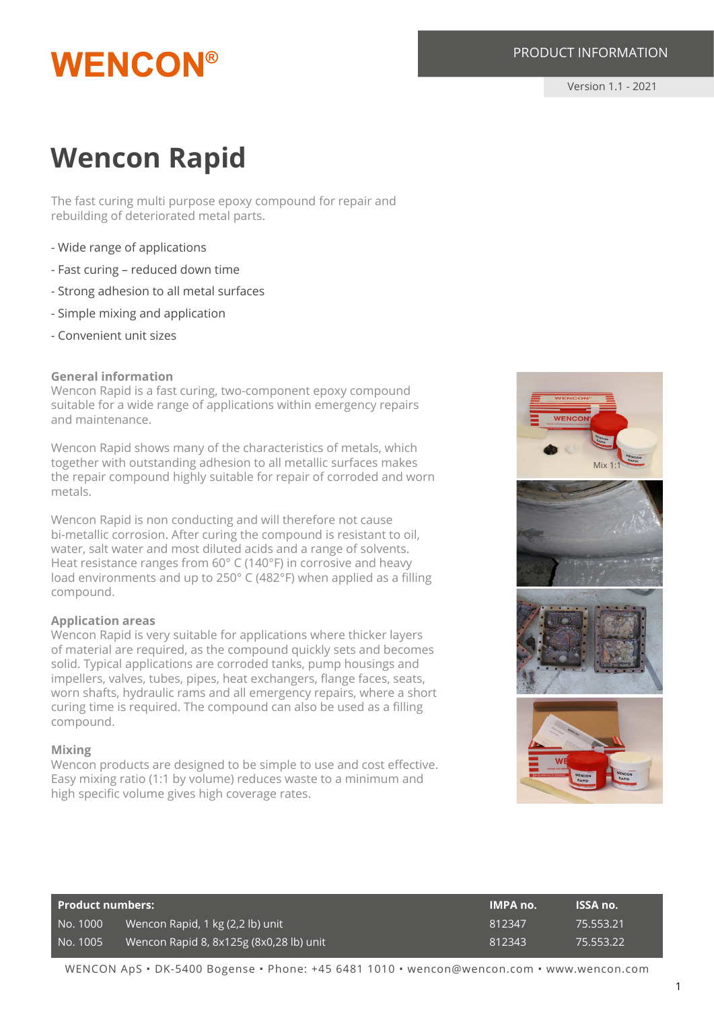## **WENCON®**

#### PRODUCT INFORMATION

Version 1.1 - 2021

### **Wencon Rapid**

The fast curing multi purpose epoxy compound for repair and rebuilding of deteriorated metal parts.

- Wide range of applications
- Fast curing reduced down time
- Strong adhesion to all metal surfaces
- Simple mixing and application
- Convenient unit sizes

#### **General information**

Wencon Rapid is a fast curing, two-component epoxy compound suitable for a wide range of applications within emergency repairs and maintenance.

Wencon Rapid shows many of the characteristics of metals, which together with outstanding adhesion to all metallic surfaces makes the repair compound highly suitable for repair of corroded and worn metals.

Wencon Rapid is non conducting and will therefore not cause bi-metallic corrosion. After curing the compound is resistant to oil, water, salt water and most diluted acids and a range of solvents. Heat resistance ranges from 60° C (140°F) in corrosive and heavy load environments and up to 250° C (482°F) when applied as a filling compound.

#### **Application areas**

Wencon Rapid is very suitable for applications where thicker layers of material are required, as the compound quickly sets and becomes solid. Typical applications are corroded tanks, pump housings and impellers, valves, tubes, pipes, heat exchangers, flange faces, seats, worn shafts, hydraulic rams and all emergency repairs, where a short curing time is required. The compound can also be used as a filling compound.

#### **Mixing**

Wencon products are designed to be simple to use and cost effective. Easy mixing ratio (1:1 by volume) reduces waste to a minimum and high specific volume gives high coverage rates.



| Product numbers: |                                         | <b>IMPA no.</b> | <b>ISSA no.</b> |
|------------------|-----------------------------------------|-----------------|-----------------|
| No. 1000         | Wencon Rapid, 1 kg (2,2 lb) unit        | 812347          | 75.553.21       |
| No. 1005         | Wencon Rapid 8, 8x125g (8x0,28 lb) unit | 812343          | 75.553.22       |

WENCON ApS • DK-5400 Bogense • Phone: +45 6481 1010 • wencon@wencon.com • www.wencon.com